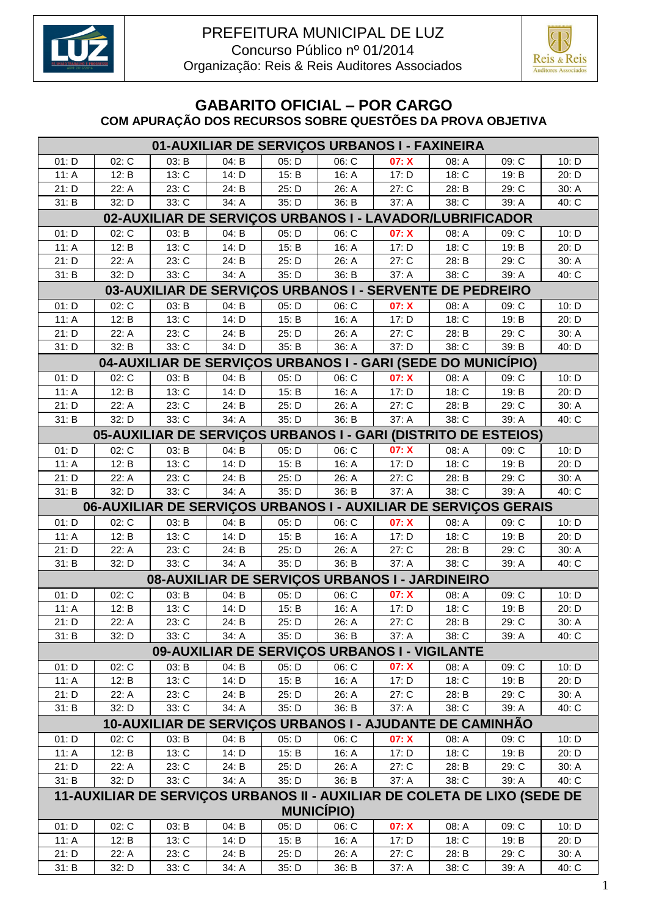



## **GABARITO OFICIAL – POR CARGO COM APURAÇÃO DOS RECURSOS SOBRE QUESTÕES DA PROVA OBJETIVA**

| 01-AUXILIAR DE SERVIÇOS URBANOS I - FAXINEIRA |                                                          |       |       |       |                    |                                                              |                     |                                                                          |       |  |  |
|-----------------------------------------------|----------------------------------------------------------|-------|-------|-------|--------------------|--------------------------------------------------------------|---------------------|--------------------------------------------------------------------------|-------|--|--|
| 01: D                                         | 02: C                                                    | 03: B | 04: B | 05: D | $06: \overline{C}$ | 07: X                                                        | 08: A               | 09: C                                                                    | 10: D |  |  |
| 11: A                                         | 12: B                                                    | 13: C | 14: D | 15: B | 16: A              | 17: D                                                        | 18: C               | 19: B                                                                    | 20: D |  |  |
| 21: D                                         | 22: A                                                    | 23: C | 24: B | 25: D | 26: A              | 27: C                                                        | 28: B               | 29: C                                                                    | 30: A |  |  |
| 31: B                                         | 32: D                                                    | 33: C | 34: A | 35: D | 36: B              | 37: A                                                        | 38: C               | 39: A                                                                    | 40: C |  |  |
|                                               | 02-AUXILIAR DE SERVIÇOS URBANOS I - LAVADOR/LUBRIFICADOR |       |       |       |                    |                                                              |                     |                                                                          |       |  |  |
| 01: D                                         | 02: C                                                    | 03: B | 04: B | 05: D | 06: C              | 07: X                                                        | 08: A               | 09: C                                                                    | 10: D |  |  |
| 11: A                                         | 12: B                                                    | 13: C | 14: D | 15: B | 16: A              | 17: D                                                        | 18: C               | 19: B                                                                    | 20: D |  |  |
| 21: D                                         | 22: A                                                    | 23: C | 24: B | 25: D | 26: A              | 27: C                                                        | 28: B               | 29: C                                                                    | 30: A |  |  |
| 31: B                                         | 32: D                                                    | 33: C | 34: A | 35: D | 36: B              | 37: A                                                        | 38: C               | 39: A                                                                    | 40: C |  |  |
|                                               | 03-AUXILIAR DE SERVIÇOS URBANOS I - SERVENTE DE PEDREIRO |       |       |       |                    |                                                              |                     |                                                                          |       |  |  |
| 01: D                                         | 02: C                                                    | 03: B | 04: B | 05: D | 06: C              | 07: X                                                        | 08: A               | 09: C                                                                    | 10: D |  |  |
| 11: A                                         | 12: B                                                    | 13: C | 14: D | 15: B | 16: A              | 17: D                                                        | 18: C               | 19: B                                                                    | 20: D |  |  |
| 21: D                                         | 22: A                                                    | 23: C | 24: B | 25: D | 26: A              | 27: C                                                        | 28: B               | 29: C                                                                    | 30: A |  |  |
| 31: D                                         | 32: B                                                    | 33: C | 34: D | 35: B | 36: A              | 37: D                                                        | 38: C               | 39: B                                                                    | 40: D |  |  |
|                                               |                                                          |       |       |       |                    | 04-AUXILIAR DE SERVIÇOS URBANOS I - GARI (SEDE DO MUNICÍPIO) |                     |                                                                          |       |  |  |
| 01: D                                         | 02: C                                                    | 03: B | 04: B | 05: D | 06: C              | 07: X                                                        | 08: A               | 09: C                                                                    | 10: D |  |  |
| 11: A                                         | 12: B                                                    | 13: C | 14: D | 15: B | 16: A              | 17: D                                                        | 18: C               | 19: B                                                                    | 20: D |  |  |
| 21: D                                         | 22: A                                                    | 23: C | 24: B | 25: D | 26: A              | 27:C                                                         | 28: B               | 29: C                                                                    | 30: A |  |  |
| 31: B                                         | 32: D                                                    | 33: C | 34: A | 35: D | 36: B              | 37: A                                                        | 38: C               | 39: A                                                                    | 40: C |  |  |
|                                               |                                                          |       |       |       |                    |                                                              |                     | 05-AUXILIAR DE SERVIÇOS URBANOS I - GARI (DISTRITO DE ESTEIOS)           |       |  |  |
| 01: D                                         | 02: C                                                    | 03: B | 04: B | 05: D | 06: C              | 07: X                                                        | 08: A               | 09: C                                                                    | 10: D |  |  |
| 11: A                                         | 12: B                                                    | 13: C | 14: D | 15: B | 16: A              | 17: D                                                        | 18: C               | 19: B                                                                    | 20: D |  |  |
| 21: D                                         | 22: A                                                    | 23: C | 24: B | 25: D | 26: A              | 27: C                                                        | 28: B               | 29: C                                                                    | 30: A |  |  |
| 31: B                                         | 32: D                                                    | 33: C | 34: A | 35: D | 36: B              | 37: A                                                        | 38: C               | 39: A                                                                    | 40: C |  |  |
|                                               |                                                          |       |       |       |                    |                                                              |                     | 06-AUXILIAR DE SERVIÇOS URBANOS I - AUXILIAR DE SERVIÇOS GERAIS          |       |  |  |
| 01: D                                         | 02: C                                                    | 03: B | 04: B | 05: D | 06: C              | 07: X                                                        | 08: A               | 09: C                                                                    | 10: D |  |  |
| 11: A                                         | 12: B                                                    | 13: C | 14: D | 15: B | 16: A              | 17: D                                                        | 18: C               | 19: B                                                                    | 20: D |  |  |
| 21: D                                         | 22: A                                                    | 23: C | 24: B | 25: D | 26: A              | 27:C                                                         | 28: B               | 29: C                                                                    | 30: A |  |  |
| 31: B                                         | 32: D                                                    | 33: C | 34: A | 35: D | 36: B              | 37: A                                                        | $\overline{38}$ : C | 39: A                                                                    | 40: C |  |  |
|                                               |                                                          |       |       |       |                    | 08-AUXILIAR DE SERVIÇOS URBANOS I - JARDINEIRO               |                     |                                                                          |       |  |  |
| 01: D                                         | 02: C                                                    | 03: B | 04: B | 05: D | 06: C              | 07: X                                                        | 08: A               | 09: C                                                                    | 10: D |  |  |
| 11: A                                         | 12: B                                                    | 13: C | 14: D | 15: B | 16: A              | 17: D                                                        | 18: C               | 19: B                                                                    | 20: D |  |  |
| 21: D                                         | 22: A                                                    | 23: C | 24: B | 25: D | 26: A              | 27: C                                                        | 28: B               | 29: C                                                                    | 30: A |  |  |
| 31: B                                         | 32: D                                                    | 33: C | 34: A | 35: D | 36: B              | 37: A                                                        | 38: C               | 39: A                                                                    | 40: C |  |  |
|                                               |                                                          |       |       |       |                    | 09-AUXILIAR DE SERVIÇOS URBANOS I - VIGILANTE                |                     |                                                                          |       |  |  |
| 01: D                                         | 02: C                                                    | 03: B | 04: B | 05: D | 06: C              | 07: X                                                        | 08: A               | 09: C                                                                    | 10: D |  |  |
| 11: A                                         | 12: B                                                    | 13: C | 14: D | 15: B | 16: A              | 17: D                                                        | 18: C               | 19: B                                                                    | 20: D |  |  |
| 21: D                                         | 22: A                                                    | 23: C | 24: B | 25: D | 26: A              | 27: C                                                        | 28: B               | 29: C                                                                    | 30: A |  |  |
| 31: B                                         | 32: D                                                    | 33: C | 34: A | 35: D | 36: B              | 37: A                                                        | 38: C               | 39: A                                                                    | 40: C |  |  |
|                                               |                                                          |       |       |       |                    | 10-AUXILIAR DE SERVIÇOS URBANOS I - AJUDANTE DE CAMINHÃO     |                     |                                                                          |       |  |  |
| 01: D                                         | 02: C                                                    | 03: B | 04: B | 05: D | 06: C              | 07: X                                                        | 08: A               | 09: C                                                                    | 10: D |  |  |
| 11: A                                         | 12: B                                                    | 13: C | 14: D | 15: B | 16: A              | 17: D                                                        | 18: C               | 19: B                                                                    | 20: D |  |  |
| 21: D                                         | 22: A                                                    | 23: C | 24: B | 25: D | 26: A              | 27: C                                                        | 28: B               | 29: C                                                                    | 30: A |  |  |
| 31: B                                         | 32: D                                                    | 33: C | 34: A | 35: D | 36: B              | 37: A                                                        | 38: C               | 39: A                                                                    | 40: C |  |  |
|                                               |                                                          |       |       |       | <b>MUNICÍPIO)</b>  |                                                              |                     | 11-AUXILIAR DE SERVIÇOS URBANOS II - AUXILIAR DE COLETA DE LIXO (SEDE DE |       |  |  |
| 01: D                                         | 02: C                                                    | 03: B | 04: B | 05: D | 06: C              | 07: X                                                        | 08: A               | 09: C                                                                    | 10: D |  |  |
| 11: A                                         | 12: B                                                    | 13: C | 14: D | 15: B | 16: A              | 17: D                                                        | 18: C               | 19: B                                                                    | 20: D |  |  |
| 21: D                                         | 22: A                                                    | 23: C | 24: B | 25: D | 26: A              | 27: C                                                        | 28: B               | 29: C                                                                    | 30: A |  |  |
| 31: B                                         | 32: D                                                    | 33: C | 34: A | 35: D | 36: B              | 37: A                                                        | 38: C               | 39: A                                                                    | 40: C |  |  |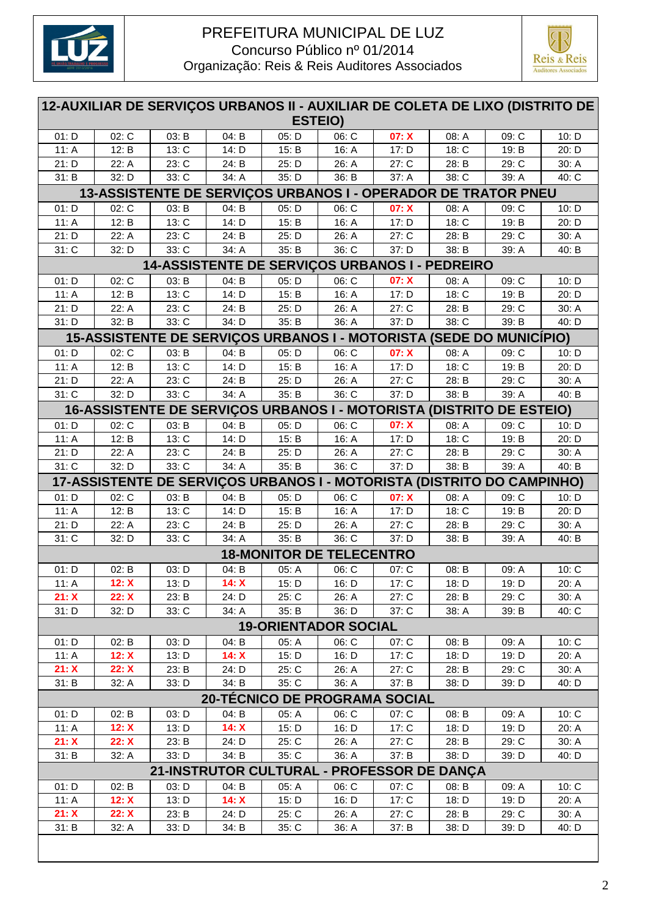



| 12-AUXILIAR DE SERVIÇOS URBANOS II - AUXILIAR DE COLETA DE LIXO (DISTRITO DE<br><b>ESTEIO)</b> |                     |                                                                        |       |                                 |                             |                               |       |       |       |  |
|------------------------------------------------------------------------------------------------|---------------------|------------------------------------------------------------------------|-------|---------------------------------|-----------------------------|-------------------------------|-------|-------|-------|--|
| 01: D                                                                                          | 02: C               | 03: B                                                                  | 04: B | 05: D                           | 06: C                       | 07: X                         | 08: A | 09: C | 10: D |  |
| 11: A                                                                                          | $\overline{1}$ 2: B | 13: C                                                                  | 14: D | 15: B                           | 16: A                       | 17: D                         | 18: C | 19: B | 20: D |  |
| 21: D                                                                                          | 22: A               | 23: C                                                                  | 24: B | 25: D                           | 26: A                       | 27: C                         | 28: B | 29: C | 30: A |  |
| 31: B                                                                                          | 32: D               | 33: C                                                                  | 34: A | 35: D                           | 36: B                       | 37: A                         | 38: C | 39: A | 40: C |  |
| 13-ASSISTENTE DE SERVIÇOS URBANOS I - OPERADOR DE TRATOR PNEU                                  |                     |                                                                        |       |                                 |                             |                               |       |       |       |  |
| 01: D                                                                                          | 02: C               | 03: B                                                                  | 04: B | 05: D                           | 06: C                       | 07: X                         | 08: A | 09: C | 10: D |  |
| 11: A                                                                                          | 12: B               | 13: C                                                                  | 14: D | 15: B                           | 16: A                       | 17: D                         | 18: C | 19: B | 20: D |  |
| 21: D                                                                                          | 22: A               | 23: C                                                                  | 24: B | 25: D                           | 26: A                       | 27: C                         | 28: B | 29: C | 30: A |  |
| $31:$ C                                                                                        | 32: D               | 33: C                                                                  | 34: A | 35: B                           | 36: C                       | 37: D                         | 38: B | 39: A | 40: B |  |
|                                                                                                |                     | 14-ASSISTENTE DE SERVIÇOS URBANOS I - PEDREIRO                         |       |                                 |                             |                               |       |       |       |  |
| 01: D                                                                                          | 02: C               | 03: B                                                                  | 04: B | 05: D                           | 06: C                       | 07: X                         | 08: A | 09: C | 10: D |  |
| 11: A                                                                                          | 12: B               | 13: C                                                                  | 14: D | 15: B                           | 16: A                       | 17: D                         | 18: C | 19: B | 20: D |  |
| 21: D                                                                                          | 22: A               | 23: C                                                                  | 24: B | 25: D                           | 26: A                       | 27: C                         | 28: B | 29: C | 30: A |  |
| 31: D                                                                                          | 32: B               | 33: C                                                                  | 34: D | 35: B                           | 36: A                       | 37: D                         | 38:C  | 39: B | 40: D |  |
|                                                                                                |                     | 15-ASSISTENTE DE SERVIÇOS URBANOS I - MOTORISTA (SEDE DO MUNICÍPIO)    |       |                                 |                             |                               |       |       |       |  |
| 01: D                                                                                          | 02: C               | 03: B                                                                  | 04: B | 05: D                           | 06: C                       | 07: X                         | 08: A | 09: C | 10: D |  |
| 11: A                                                                                          | 12: B               | 13: C                                                                  | 14: D | 15: B                           | 16: A                       | 17: D                         | 18: C | 19: B | 20: D |  |
| 21: D                                                                                          | 22: A               | 23: C                                                                  | 24: B | 25: D                           | 26: A                       | 27: C                         | 28: B | 29: C | 30: A |  |
| 31: C                                                                                          | 32: D               | 33: C                                                                  | 34: A | 35: B                           | 36: C                       | 37: D                         | 38: B | 39: A | 40: B |  |
|                                                                                                |                     | 16-ASSISTENTE DE SERVIÇOS URBANOS I - MOTORISTA (DISTRITO DE ESTEIO)   |       |                                 |                             |                               |       |       |       |  |
| 01: D                                                                                          | 02: C               | 03: B                                                                  | 04: B | 05: D                           | 06: C                       | 07: X                         | 08: A | 09: C | 10: D |  |
| 11: A                                                                                          | $\overline{1}$ 2: B | 13: C                                                                  | 14: D | 15: B                           | 16: A                       | 17: D                         | 18: C | 19: B | 20: D |  |
| 21: D                                                                                          | 22: A               | 23: C                                                                  | 24: B | 25: D                           | 26: A                       | 27: C                         | 28: B | 29: C | 30: A |  |
| $31:$ C                                                                                        | 32: D               | 33: C                                                                  | 34: A | 35: B                           | 36: C                       | 37: D                         | 38: B | 39: A | 40: B |  |
|                                                                                                |                     | 17-ASSISTENTE DE SERVIÇOS URBANOS I - MOTORISTA (DISTRITO DO CAMPINHO) |       |                                 |                             |                               |       |       |       |  |
| 01: D                                                                                          | 02: C               | 03: B                                                                  | 04: B | 05: D                           | 06: C                       | 07: X                         | 08: A | 09: C | 10: D |  |
| 11: A                                                                                          | 12: B               | 13: C                                                                  | 14: D | 15: B                           | 16: A                       | 17: D                         | 18: C | 19: B | 20: D |  |
| 21: D                                                                                          | 22: A               | 23: C                                                                  | 24: B | 25: D                           | 26: A                       | 27: C                         | 28: B | 29: C | 30: A |  |
| $31:$ C                                                                                        | 32: D               | 33: C                                                                  | 34: A | 35: B                           | 36: C                       | 37: D                         | 38: B | 39: A | 40: B |  |
|                                                                                                |                     |                                                                        |       | <b>18-MONITOR DE TELECENTRO</b> |                             |                               |       |       |       |  |
| 01: D                                                                                          | $\overline{02}$ : B | 03: D                                                                  | 04: B | 05: A                           | 06: C                       | 07: C                         | 08: B | 09: A | 10: C |  |
| 11: A                                                                                          | 12: X               | 13: D                                                                  | 14: X | 15: D                           | 16: D                       | 17: C                         | 18: D | 19: D | 20: A |  |
| 21: X                                                                                          | 22: X               | 23: B                                                                  | 24: D | 25: C                           | 26: A                       | 27: C                         | 28: B | 29: C | 30: A |  |
| 31: D                                                                                          | 32: D               | 33: C                                                                  | 34: A | 35: B                           | 36: D                       | 37: C                         | 38: A | 39: B | 40: C |  |
|                                                                                                |                     |                                                                        |       |                                 | <b>19-ORIENTADOR SOCIAL</b> |                               |       |       |       |  |
|                                                                                                |                     |                                                                        |       |                                 |                             |                               |       |       |       |  |
| 01: D                                                                                          | 02: B               | 03: D                                                                  | 04: B | 05: A                           | 06: C                       | 07: C                         | 08: B | 09: A | 10: C |  |
| 11: $A$                                                                                        | 12: X               | 13: D                                                                  | 14: X | 15: D                           | 16: D                       | 17: C                         | 18: D | 19: D | 20: A |  |
| 21: X                                                                                          | 22: X               | 23: B                                                                  | 24: D | 25: C                           | 26: A                       | 27: C                         | 28: B | 29: C | 30: A |  |
| 31: B                                                                                          | 32: A               | 33: D                                                                  | 34: B | 35: C                           | 36: A                       | 37: B                         | 38: D | 39: D | 40: D |  |
|                                                                                                |                     |                                                                        |       |                                 |                             | 20-TÉCNICO DE PROGRAMA SOCIAL |       |       |       |  |
| 01: D                                                                                          | 02: B               | 03: D                                                                  | 04: B | 05: A                           | 06: C                       | 07: C                         | 08: B | 09: A | 10: C |  |
| 11: A                                                                                          | 12: X               | 13: D                                                                  | 14: X | 15: D                           | 16: D                       | 17: C                         | 18: D | 19: D | 20: A |  |
| 21: X                                                                                          | 22: X               | 23: B                                                                  | 24: D | 25: C                           | 26: A                       | $27:$ C                       | 28: B | 29: C | 30: A |  |
| 31: B                                                                                          | 32: A               | 33: D                                                                  | 34: B | 35: C                           | 36: A                       | 37: B                         | 38: D | 39: D | 40: D |  |
|                                                                                                |                     | 21-INSTRUTOR CULTURAL - PROFESSOR DE DANÇA                             |       |                                 |                             |                               |       |       |       |  |
| 01: D                                                                                          | 02: B               | 03: D                                                                  | 04: B | 05: A                           | 06: C                       | 07: C                         | 08: B | 09: A | 10: C |  |
| 11: $A$                                                                                        | 12: X               | 13: D                                                                  | 14: X | 15: D                           | 16: D                       | 17: C                         | 18: D | 19: D | 20: A |  |
| 21: X                                                                                          | 22: X               | 23: B                                                                  | 24: D | 25: C                           | 26: A                       | 27: C                         | 28: B | 29: C | 30: A |  |
| 31: B                                                                                          | 32: A               | 33: D                                                                  | 34: B | 35: C                           | 36: A                       | 37: B                         | 38: D | 39: D | 40: D |  |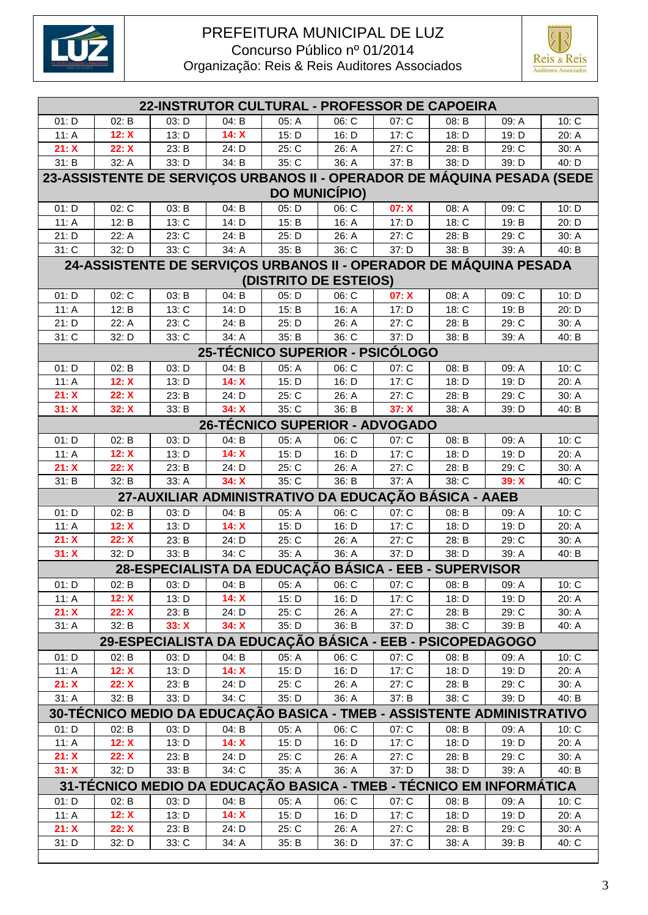



| 22-INSTRUTOR CULTURAL - PROFESSOR DE CAPOEIRA |       |       |       |       |                                                                         |       |       |       |       |  |
|-----------------------------------------------|-------|-------|-------|-------|-------------------------------------------------------------------------|-------|-------|-------|-------|--|
| 01: D                                         | 02: B | 03: D | 04: B | 05: A | 06: C                                                                   | 07: C | 08: B | 09: A | 10: C |  |
| 11: A                                         | 12: X | 13: D | 14: X | 15: D | 16: D                                                                   | 17: C | 18: D | 19: D | 20: A |  |
| 21: X                                         | 22: X | 23: B | 24: D | 25: C | 26: A                                                                   | 27: C | 28: B | 29: C | 30: A |  |
| 31: B                                         | 32: A | 33: D | 34: B | 35: C | 36: A                                                                   | 37: B | 38: D | 39: D | 40: D |  |
|                                               |       |       |       |       | 23-ASSISTENTE DE SERVIÇOS URBANOS II - OPERADOR DE MÁQUINA PESADA (SEDE |       |       |       |       |  |
|                                               |       |       |       |       | <b>DO MUNICÍPIO)</b>                                                    |       |       |       |       |  |
| 01: D                                         | 02: C | 03: B | 04: B | 05: D | 06: C                                                                   | 07: X | 08: A | 09: C | 10: D |  |
| 11: A                                         | 12: B | 13: C | 14: D | 15: B | 16: A                                                                   | 17: D | 18: C | 19: B | 20: D |  |
| 21: D                                         | 22: A | 23: C | 24: B | 25: D | 26: A                                                                   | 27: C | 28: B | 29: C | 30: A |  |
| $31:$ C                                       | 32: D | 33: C | 34: A | 35: B | 36: C                                                                   | 37: D | 38: B | 39: A | 40: B |  |
|                                               |       |       |       |       | 24-ASSISTENTE DE SERVIÇOS URBANOS II - OPERADOR DE MÁQUINA PESADA       |       |       |       |       |  |
|                                               |       |       |       |       | (DISTRITO DE ESTEIOS)                                                   |       |       |       |       |  |
| 01: D                                         | 02: C | 03: B | 04: B | 05: D | 06: C                                                                   | 07: X | 08: A | 09: C | 10: D |  |
| 11: A                                         | 12: B | 13: C | 14: D | 15: B | 16: A                                                                   | 17: D | 18: C | 19: B | 20: D |  |
| 21: D                                         | 22: A | 23: C | 24: B | 25: D | 26: A                                                                   | 27: C | 28: B | 29: C | 30: A |  |
| $31:$ C                                       | 32: D | 33: C | 34: A | 35: B | 36: C                                                                   | 37: D | 38: B | 39: A | 40: B |  |
|                                               |       |       |       |       | 25-TÉCNICO SUPERIOR - PSICÓLOGO                                         |       |       |       |       |  |
| 01: D                                         | 02: B | 03: D | 04: B | 05: A | 06: C                                                                   | 07: C | 08: B | 09: A | 10: C |  |
| 11: A                                         | 12: X | 13: D | 14: X | 15: D | 16: D                                                                   | 17: C | 18: D | 19: D | 20: A |  |
| 21: X                                         | 22: X | 23: B | 24: D | 25: C | 26: A                                                                   | 27: C | 28: B | 29: C | 30: A |  |
| 31: X                                         | 32: X | 33: B | 34: X | 35: C | 36: B                                                                   | 37: X | 38: A | 39: D | 40: B |  |
|                                               |       |       |       |       | <b>26-TÉCNICO SUPERIOR - ADVOGADO</b>                                   |       |       |       |       |  |
| 01: D                                         | 02: B | 03: D | 04: B | 05: A | 06: C                                                                   | 07: C | 08: B | 09: A | 10: C |  |
| 11: A                                         | 12: X | 13: D | 14: X | 15: D | 16: D                                                                   | 17: C | 18: D | 19: D | 20: A |  |
| 21: X                                         | 22: X | 23: B | 24: D | 25: C | 26: A                                                                   | 27:C  | 28: B | 29: C | 30: A |  |
| 31: B                                         | 32: B | 33: A | 34: X | 35: C | 36: B                                                                   | 37: A | 38: C | 39: X | 40: C |  |
|                                               |       |       |       |       | 27-AUXILIAR ADMINISTRATIVO DA EDUCAÇÃO BÁSICA - AAEB                    |       |       |       |       |  |
| 01: D                                         | 02: B | 03: D | 04: B | 05: A | 06: C                                                                   | 07: C | 08: B | 09: A | 10: C |  |
| 11: A                                         | 12: X | 13: D | 14: X | 15: D | 16: D                                                                   | 17: C | 18: D | 19: D | 20: A |  |
| 21: X                                         | 22: X | 23: B | 24: D | 25: C | 26: A                                                                   | 27:C  | 28: B | 29: C | 30: A |  |
| 31: X                                         | 32: D | 33: B | 34: C | 35: A | 36: A                                                                   | 37: D | 38: D | 39: A | 40: B |  |
|                                               |       |       |       |       | 28-ESPECIALISTA DA EDUCAÇÃO BÁSICA - EEB - SUPERVISOR                   |       |       |       |       |  |
| 01: D                                         | 02: B | 03: D | 04: B | 05: A | 06: C                                                                   | 07: C | 08: B | 09: A | 10: C |  |
| 11: A                                         | 12: X | 13: D | 14: X | 15: D | 16: D                                                                   | 17: C | 18: D | 19: D | 20: A |  |
| 21: X                                         | 22: X | 23: B | 24: D | 25: C | 26: A                                                                   | 27: C | 28: B | 29: C | 30: A |  |
| 31: A                                         | 32: B | 33: X | 34: X | 35: D | 36: B                                                                   | 37: D | 38: C | 39: B | 40: A |  |
|                                               |       |       |       |       | 29-ESPECIALISTA DA EDUCAÇÃO BÁSICA - EEB - PSICOPEDAGOGO                |       |       |       |       |  |
| 01: D                                         | 02: B | 03: D | 04: B | 05: A | 06: C                                                                   | 07: C | 08: B | 09: A | 10: C |  |
| 11: A                                         | 12: X | 13: D | 14: X | 15: D | 16: D                                                                   | 17: C | 18: D | 19: D | 20: A |  |
| 21: X                                         | 22: X | 23: B | 24: D | 25: C | 26: A                                                                   | 27: C | 28: B | 29: C | 30: A |  |
| 31: A                                         | 32: B | 33: D | 34: C | 35: D | 36: A                                                                   | 37: B | 38: C | 39: D | 40: B |  |
|                                               |       |       |       |       | 30-TÉCNICO MEDIO DA EDUCAÇÃO BASICA - TMEB - ASSISTENTE ADMINISTRATIVO  |       |       |       |       |  |
| 01: D                                         | 02: B | 03: D | 04: B | 05: A | 06: C                                                                   | 07: C | 08: B | 09: A | 10: C |  |
| 11: A                                         | 12: X | 13: D | 14: X | 15: D | 16: D                                                                   | 17: C | 18: D | 19: D | 20: A |  |
| 21: X                                         | 22: X | 23: B | 24: D | 25: C | 26: A                                                                   | 27: C | 28: B | 29: C | 30: A |  |
| 31: X                                         | 32: D | 33: B | 34: C | 35: A | 36: A                                                                   | 37: D | 38: D | 39: A | 40: B |  |
|                                               |       |       |       |       | 31-TÉCNICO MEDIO DA EDUCAÇÃO BASICA - TMEB - TÉCNICO EM INFORMÁTICA     |       |       |       |       |  |
| 01: D                                         | 02: B | 03: D | 04: B | 05: A | 06: C                                                                   | 07: C | 08: B | 09: A | 10: C |  |
| 11: A                                         | 12: X | 13: D | 14: X | 15: D | 16: D                                                                   | 17: C | 18: D | 19: D | 20: A |  |
| 21: X                                         | 22: X | 23: B | 24: D | 25: C | 26: A                                                                   | 27: C | 28: B | 29: C | 30: A |  |
| 31: D                                         | 32: D | 33: C | 34: A | 35: B | 36: D                                                                   | 37: C | 38: A | 39: B | 40: C |  |
|                                               |       |       |       |       |                                                                         |       |       |       |       |  |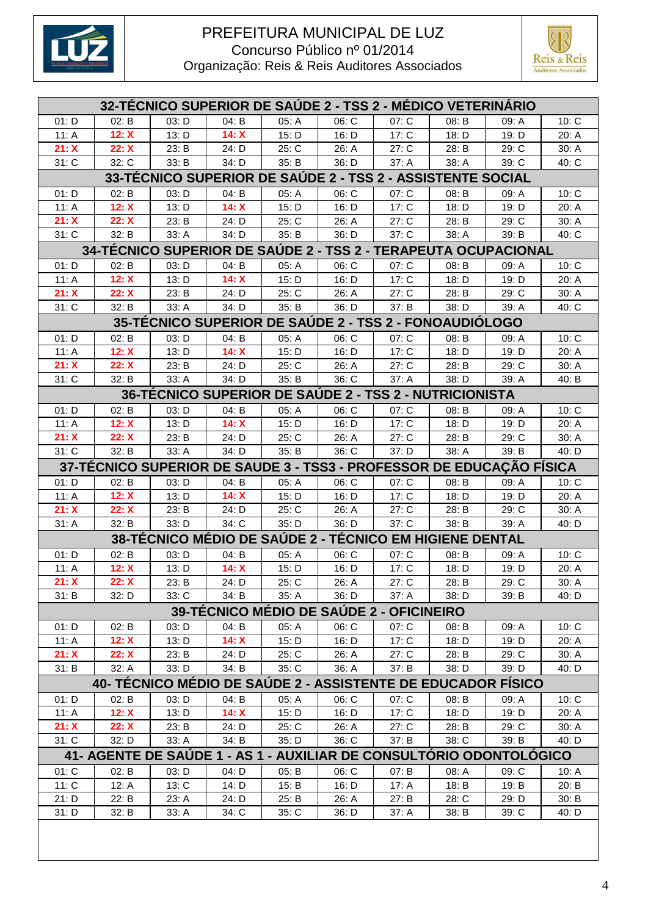



| <b>32-TÉCNICO SUPERIOR DE SAUDE 2 - TSS 2 - MÉDICO VETERINARIO</b> |                                                                      |       |       |       |                                                         |         |       |       |       |  |  |
|--------------------------------------------------------------------|----------------------------------------------------------------------|-------|-------|-------|---------------------------------------------------------|---------|-------|-------|-------|--|--|
| 01: D                                                              | 02: B                                                                | 03: D | 04: B | 05: A | 06: C                                                   | 07: C   | 08: B | 09: A | 10: C |  |  |
| 11: A                                                              | 12: X                                                                | 13: D | 14: X | 15: D | 16: D                                                   | 17: C   | 18: D | 19: D | 20: A |  |  |
| 21: X                                                              | 22: X                                                                | 23: B | 24: D | 25: C | 26: A                                                   | 27: C   | 28: B | 29: C | 30: A |  |  |
| 31: C                                                              | 32: C                                                                | 33: B | 34: D | 35: B | 36: D                                                   | 37: A   | 38: A | 39: C | 40: C |  |  |
| <b>33-TÉCNICO SUPERIOR DE SAÚDE 2 - TSS 2 - ASSISTENTE SOCIAL</b>  |                                                                      |       |       |       |                                                         |         |       |       |       |  |  |
| 01: D                                                              | 02: B                                                                | 03: D | 04: B | 05: A | 06: C                                                   | 07: C   | 08: B | 09: A | 10: C |  |  |
| 11: A                                                              | 12: X                                                                | 13: D | 14: X | 15: D | 16: D                                                   | 17: C   | 18: D | 19: D | 20: A |  |  |
| 21: X                                                              | 22: X                                                                | 23: B | 24: D | 25: C | 26: A                                                   | 27: C   | 28: B | 29: C | 30: A |  |  |
| 31: C                                                              | 32: B                                                                | 33: A | 34: D | 35: B | 36: D                                                   | 37: C   | 38: A | 39: B | 40: C |  |  |
| 34-TÉCNICO SUPERIOR DE SAÚDE 2 - TSS 2 - TERAPEUTA OCUPACIONAL     |                                                                      |       |       |       |                                                         |         |       |       |       |  |  |
| 01: D                                                              | 02: B                                                                | 03: D | 04: B | 05: A | 06: C                                                   | 07: C   | 08: B | 09: A | 10: C |  |  |
| 11: A                                                              | 12: X                                                                | 13: D | 14: X | 15: D | 16: D                                                   | 17: C   | 18: D | 19: D | 20: A |  |  |
| 21: X                                                              | 22: X                                                                | 23: B | 24: D | 25: C | 26: A                                                   | 27: C   | 28: B | 29: C | 30: A |  |  |
| 31: C                                                              | 32: B                                                                | 33: A | 34: D | 35: B | 36: D                                                   | 37: B   | 38: D | 39: A | 40: C |  |  |
| <b>35-TÉCNICO SUPERIOR DE SAUDE 2 - TSS 2 - FONOAUDIÓLOGO</b>      |                                                                      |       |       |       |                                                         |         |       |       |       |  |  |
| 01: D                                                              | 02: B                                                                | 03: D | 04: B | 05: A | 06: C                                                   | 07: C   | 08: B | 09: A | 10: C |  |  |
| 11: A                                                              | 12: X                                                                | 13: D | 14: X | 15: D | 16: D                                                   | 17: C   | 18: D | 19: D | 20: A |  |  |
| 21: X                                                              | 22: X                                                                | 23: B | 24: D | 25: C | 26: A                                                   | 27: C   | 28: B | 29: C | 30: A |  |  |
| 31: C                                                              | 32: B                                                                | 33: A | 34: D | 35: B | 36: C                                                   | 37: A   | 38: D | 39: A | 40: B |  |  |
|                                                                    |                                                                      |       |       |       | 36-TÉCNICO SUPERIOR DE SAÚDE 2 - TSS 2 - NUTRICIONISTA  |         |       |       |       |  |  |
| 01: D                                                              | 02: B                                                                | 03: D | 04: B | 05: A | 06: C                                                   | 07: C   | 08: B | 09: A | 10: C |  |  |
| 11: A                                                              | 12: X                                                                | 13: D | 14: X | 15: D | 16: D                                                   | 17: C   | 18: D | 19: D | 20: A |  |  |
| 21: X                                                              | 22: X                                                                | 23: B | 24: D | 25: C | 26: A                                                   | 27: C   | 28: B | 29: C | 30: A |  |  |
| 31: C                                                              | 32: B                                                                | 33: A | 34: D | 35: B | 36: C                                                   | 37: D   | 38: A | 39: B | 40: D |  |  |
|                                                                    | 37-TÉCNICO SUPERIOR DE SAUDE 3 - TSS3 - PROFESSOR DE EDUCAÇÃO FÍSICA |       |       |       |                                                         |         |       |       |       |  |  |
| 01: D                                                              | 02: B                                                                | 03: D | 04: B | 05: A | 06: C                                                   | 07: C   | 08: B | 09: A | 10: C |  |  |
| 11: A                                                              | 12: X                                                                | 13: D | 14: X | 15: D | 16: D                                                   | 17: C   | 18: D | 19: D | 20: A |  |  |
| 21: X                                                              | 22: X                                                                | 23: B | 24: D | 25: C | 26: A                                                   | 27: C   | 28: B | 29: C | 30: A |  |  |
| 31: A                                                              | 32: B                                                                | 33: D | 34: C | 35: D | 36: D                                                   | 37: C   | 38: B | 39: A | 40: D |  |  |
|                                                                    |                                                                      |       |       |       | 38-TÉCNICO MÉDIO DE SAÚDE 2 - TÉCNICO EM HIGIENE DENTAL |         |       |       |       |  |  |
| 01: D                                                              | 02: B                                                                | 03: D | 04: B | 05: A | 06: C                                                   | 07: C   | 08: B | 09: A | 10: C |  |  |
| 11: $A$                                                            | 12: X                                                                | 13: D | 14: X | 15: D | 16: D                                                   | 17: C   | 18: D | 19: D | 20: A |  |  |
| 21: X                                                              | 22: X                                                                | 23: B | 24: D | 25: C | 26: A                                                   | 27: C   | 28: B | 29: C | 30: A |  |  |
| 31: B                                                              | 32: D                                                                | 33: C | 34: B | 35: A | 36: D                                                   | 37: A   | 38: D | 39: B | 40: D |  |  |
|                                                                    |                                                                      |       |       |       | 39-TÉCNICO MÉDIO DE SAÚDE 2 - OFICINEIRO                |         |       |       |       |  |  |
| 01: D                                                              | 02: B                                                                | 03: D | 04: B | 05: A | 06: C                                                   | 07: C   | 08: B | 09: A | 10: C |  |  |
| 11: A                                                              | 12: X                                                                | 13: D | 14: X | 15: D | 16: D                                                   | 17: C   | 18: D | 19: D | 20: A |  |  |
| 21: X                                                              | 22: X                                                                | 23: B | 24: D | 25: C | 26: A                                                   | 27: C   | 28: B | 29: C | 30: A |  |  |
| 31: B                                                              | 32: A                                                                | 33: D | 34: B | 35: C | 36: A                                                   | 37: B   | 38: D | 39: D | 40: D |  |  |
|                                                                    | 40- TÉCNICO MÉDIO DE SAÚDE 2 - ASSISTENTE DE EDUCADOR FÍSICO         |       |       |       |                                                         |         |       |       |       |  |  |
| 01: D                                                              | 02: B                                                                | 03: D | 04: B | 05: A | 06: C                                                   | 07: C   | 08: B | 09. A | 10: C |  |  |
| 11: A                                                              | 12: X                                                                | 13: D | 14: X | 15: D | 16: D                                                   | 17: C   | 18: D | 19: D | 20: A |  |  |
| 21: X                                                              | 22: X                                                                | 23: B | 24: D | 25: C | 26: A                                                   | 27: C   | 28: B | 29: C | 30: A |  |  |
| 31: C                                                              | 32: D                                                                | 33: A | 34: B | 35: D | 36: C                                                   | 37: B   | 38: C | 39: B | 40: D |  |  |
|                                                                    | 41- AGENTE DE SAÚDE 1 - AS 1 - AUXILIAR DE CONSULTÓRIO ODONTOLÓGICO  |       |       |       |                                                         |         |       |       |       |  |  |
| 01: C                                                              | 02: B                                                                | 03: D | 04: D | 05: B | 06: C                                                   | 07: B   | 08: A | 09: C | 10: A |  |  |
| 11: C                                                              | 12: A                                                                | 13: C | 14: D | 15: B | 16: D                                                   | 17: $A$ | 18: B | 19: B | 20: B |  |  |
| 21: D                                                              | 22: B                                                                | 23: A | 24: D | 25: B | 26: A                                                   | 27: B   | 28: C | 29: D | 30: B |  |  |
| 31: D                                                              | 32: B                                                                | 33: A | 34: C | 35: C | 36: D                                                   | 37: A   | 38: B | 39: C | 40: D |  |  |
|                                                                    |                                                                      |       |       |       |                                                         |         |       |       |       |  |  |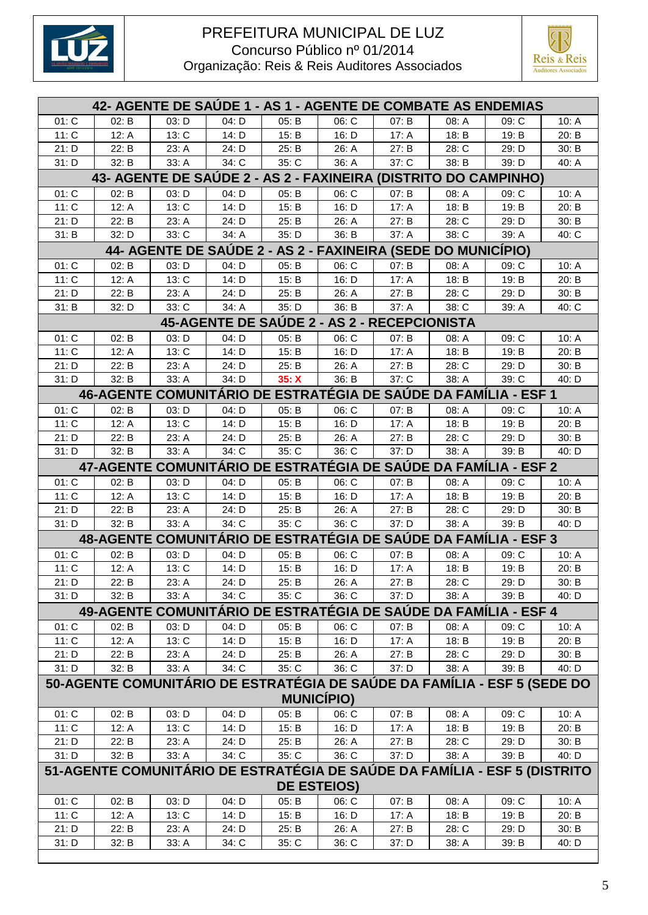



|                                                                 | 42- AGENTE DE SAUDE 1 - AS 1 - AGENTE DE COMBATE AS ENDEMIAS |                                                                           |       |       |                                             |         |       |       |       |  |  |
|-----------------------------------------------------------------|--------------------------------------------------------------|---------------------------------------------------------------------------|-------|-------|---------------------------------------------|---------|-------|-------|-------|--|--|
| 01: C                                                           | 02: B                                                        | 03: D                                                                     | 04: D | 05: B | 06: C                                       | 07: B   | 08: A | 09: C | 10: A |  |  |
| 11: C                                                           | 12: A                                                        | 13: C                                                                     | 14: D | 15: B | 16: D                                       | 17: A   | 18: B | 19: B | 20: B |  |  |
| 21: D                                                           | 22: B                                                        | 23: A                                                                     | 24: D | 25: B | 26: A                                       | 27: B   | 28: C | 29: D | 30: B |  |  |
| 31: D                                                           | 32: B                                                        | 33: A                                                                     | 34: C | 35: C | 36: A                                       | 37: C   | 38: B | 39: D | 40: A |  |  |
| 43- AGENTE DE SAÚDE 2 - AS 2 - FAXINEIRA (DISTRITO DO CAMPINHO) |                                                              |                                                                           |       |       |                                             |         |       |       |       |  |  |
| 01: C                                                           | 02: B                                                        | 03: D                                                                     | 04: D | 05: B | 06: C                                       | 07: B   | 08: A | 09: C | 10: A |  |  |
| 11: C                                                           | 12: A                                                        | 13: C                                                                     | 14: D | 15: B | 16: D                                       | 17: A   | 18: B | 19: B | 20: B |  |  |
| 21: D                                                           | 22: B                                                        | 23: A                                                                     | 24: D | 25: B | 26: A                                       | 27: B   | 28: C | 29: D | 30: B |  |  |
| 31: B                                                           | 32: D                                                        | 33: C                                                                     | 34: A | 35: D | 36: B                                       | 37: A   | 38: C | 39: A | 40: C |  |  |
|                                                                 |                                                              | 44- AGENTE DE SAUDE 2 - AS 2 - FAXINEIRA (SEDE DO MUNICIPIO)              |       |       |                                             |         |       |       |       |  |  |
| 01: C                                                           | 02: B                                                        | 03: D                                                                     | 04: D | 05: B | 06: C                                       | 07: B   | 08: A | 09: C | 10: A |  |  |
| 11: C                                                           | 12: A                                                        | 13: C                                                                     | 14: D | 15: B | 16: D                                       | 17: A   | 18: B | 19: B | 20: B |  |  |
| 21: D                                                           | 22: B                                                        | 23: A                                                                     | 24: D | 25: B | 26: A                                       | 27: B   | 28: C | 29: D | 30: B |  |  |
| 31: B                                                           | 32: D                                                        | 33: C                                                                     | 34: A | 35: D | 36: B                                       | 37: A   | 38: C | 39: A | 40: C |  |  |
|                                                                 |                                                              |                                                                           |       |       | 45-AGENTE DE SAÚDE 2 - AS 2 - RECEPCIONISTA |         |       |       |       |  |  |
| 01: C                                                           | 02: B                                                        | 03: D                                                                     | 04: D | 05: B | 06: C                                       | 07: B   | 08: A | 09: C | 10: A |  |  |
| 11: C                                                           | 12: A                                                        | 13: C                                                                     | 14: D | 15: B | 16: D                                       | 17: A   | 18: B | 19: B | 20: B |  |  |
| 21: D                                                           | 22: B                                                        | 23: A                                                                     | 24: D | 25: B | 26: A                                       | 27: B   | 28: C | 29: D | 30: B |  |  |
| 31: D                                                           | 32: B                                                        | 33: A                                                                     | 34: D | 35: X | 36: B                                       | $37:$ C | 38: A | 39: C | 40: D |  |  |
|                                                                 |                                                              | 46-AGENTE COMUNITÁRIO DE ESTRATÉGIA DE SAÚDE DA FAMÍLIA - ESF 1           |       |       |                                             |         |       |       |       |  |  |
| 01: C                                                           | 02: B                                                        | 03: D                                                                     | 04: D | 05: B | 06: C                                       | 07: B   | 08: A | 09: C | 10: A |  |  |
| 11: C                                                           | 12: A                                                        | 13: C                                                                     | 14: D | 15: B | 16: D                                       | 17: A   | 18: B | 19: B | 20: B |  |  |
| 21: D                                                           | 22: B                                                        | 23: A                                                                     | 24: D | 25: B | 26: A                                       | 27: B   | 28: C | 29: D | 30: B |  |  |
| 31: D                                                           | 32: B                                                        | 33: A                                                                     | 34: C | 35: C | 36: C                                       | 37: D   | 38: A | 39: B | 40: D |  |  |
|                                                                 |                                                              | 47-AGENTE COMUNITÁRIO DE ESTRATÉGIA DE SAÚDE DA FAMÍLIA - ESF 2           |       |       |                                             |         |       |       |       |  |  |
| 01: C                                                           | 02: B                                                        | 03: D                                                                     | 04: D | 05: B | 06: C                                       | 07: B   | 08: A | 09: C | 10: A |  |  |
| 11: C                                                           | 12: A                                                        | 13: C                                                                     | 14: D | 15: B | 16: D                                       | 17: A   | 18: B | 19: B | 20: B |  |  |
| 21: D                                                           | 22: B                                                        | 23: A                                                                     | 24: D | 25: B | 26: A                                       | 27: B   | 28: C | 29: D | 30: B |  |  |
| 31: D                                                           | 32: B                                                        | 33: A                                                                     | 34: C | 35: C | 36: C                                       | 37: D   | 38: A | 39: B | 40: D |  |  |
|                                                                 |                                                              | 48-AGENTE COMUNITÁRIO DE ESTRATÉGIA DE SAÚDE DA FAMÍLIA - ESF 3           |       |       |                                             |         |       |       |       |  |  |
| 01: C                                                           | 02: B                                                        | 03: D                                                                     | 04: D | 05: B | 06: C                                       | 07: B   | 08: A | 09: C | 10: A |  |  |
| 11: C                                                           | 12: A                                                        | 13: C                                                                     | 14: D | 15: B | 16: D                                       | 17: A   | 18: B | 19: B | 20: B |  |  |
| 21: D                                                           | 22: B                                                        | 23: A                                                                     | 24: D | 25: B | 26: A                                       | 27: B   | 28: C | 29: D | 30: B |  |  |
| 31: D                                                           | 32: B                                                        | 33: A                                                                     | 34: C | 35: C | 36: C                                       | 37: D   | 38: A | 39: B | 40: D |  |  |
|                                                                 |                                                              | 49-AGENTE COMUNITÁRIO DE ESTRATÉGIA DE SAÚDE DA FAMÍLIA - ESF 4           |       |       |                                             |         |       |       |       |  |  |
| 01: C                                                           | 02: B                                                        | 03: D                                                                     | 04: D | 05: B | 06: C                                       | 07: B   | 08: A | 09: C | 10: A |  |  |
| 11: C                                                           | 12: A                                                        | 13: C                                                                     | 14: D | 15: B | 16: D                                       | 17: A   | 18: B | 19: B | 20: B |  |  |
| 21: D                                                           | 22: B                                                        | 23: A                                                                     | 24: D | 25: B | 26: A                                       | 27: B   | 28: C | 29: D | 30: B |  |  |
| 31: D                                                           | 32: B                                                        | 33: A                                                                     | 34: C | 35: C | 36: C                                       | 37: D   | 38: A | 39: B | 40: D |  |  |
|                                                                 |                                                              | 50-AGENTE COMUNITÁRIO DE ESTRATÉGIA DE SAÚDE DA FAMÍLIA - ESF 5 (SEDE DO  |       |       |                                             |         |       |       |       |  |  |
|                                                                 |                                                              |                                                                           |       |       | <b>MUNICÍPIO)</b>                           |         |       |       |       |  |  |
| 01: C                                                           | 02: B                                                        | 03: D                                                                     | 04: D | 05: B | 06: C                                       | 07: B   | 08: A | 09: C | 10: A |  |  |
| 11: C                                                           | 12: A                                                        | 13: C                                                                     | 14: D | 15: B | 16: D                                       | 17: $A$ | 18: B | 19: B | 20: B |  |  |
| 21: D                                                           | 22: B                                                        | 23: A                                                                     | 24: D | 25: B | 26: A                                       | 27: B   | 28: C | 29: D | 30: B |  |  |
| 31: D                                                           | 32: B                                                        | 33: A                                                                     | 34: C | 35: C | 36: C                                       | 37: D   | 38: A | 39: B | 40: D |  |  |
|                                                                 |                                                              | 51-AGENTE COMUNITÁRIO DE ESTRATÉGIA DE SAÚDE DA FAMÍLIA - ESF 5 (DISTRITO |       |       |                                             |         |       |       |       |  |  |
|                                                                 |                                                              |                                                                           |       |       | <b>DE ESTEIOS)</b>                          |         |       |       |       |  |  |
| 01: C                                                           | 02: B                                                        | 03: D                                                                     | 04: D | 05: B | 06: C                                       | 07: B   | 08: A | 09: C | 10: A |  |  |
| 11: C                                                           | 12: A                                                        | 13: C                                                                     | 14: D | 15: B | 16: D                                       | 17: A   | 18: B | 19: B | 20: B |  |  |
| 21: D                                                           | 22: B                                                        | 23: A                                                                     | 24: D | 25: B | 26: A                                       | 27: B   | 28: C | 29: D | 30: B |  |  |
| 31: D                                                           | 32: B                                                        | 33: A                                                                     | 34: C | 35: C | 36: C                                       | 37: D   | 38: A | 39: B | 40: D |  |  |
|                                                                 |                                                              |                                                                           |       |       |                                             |         |       |       |       |  |  |